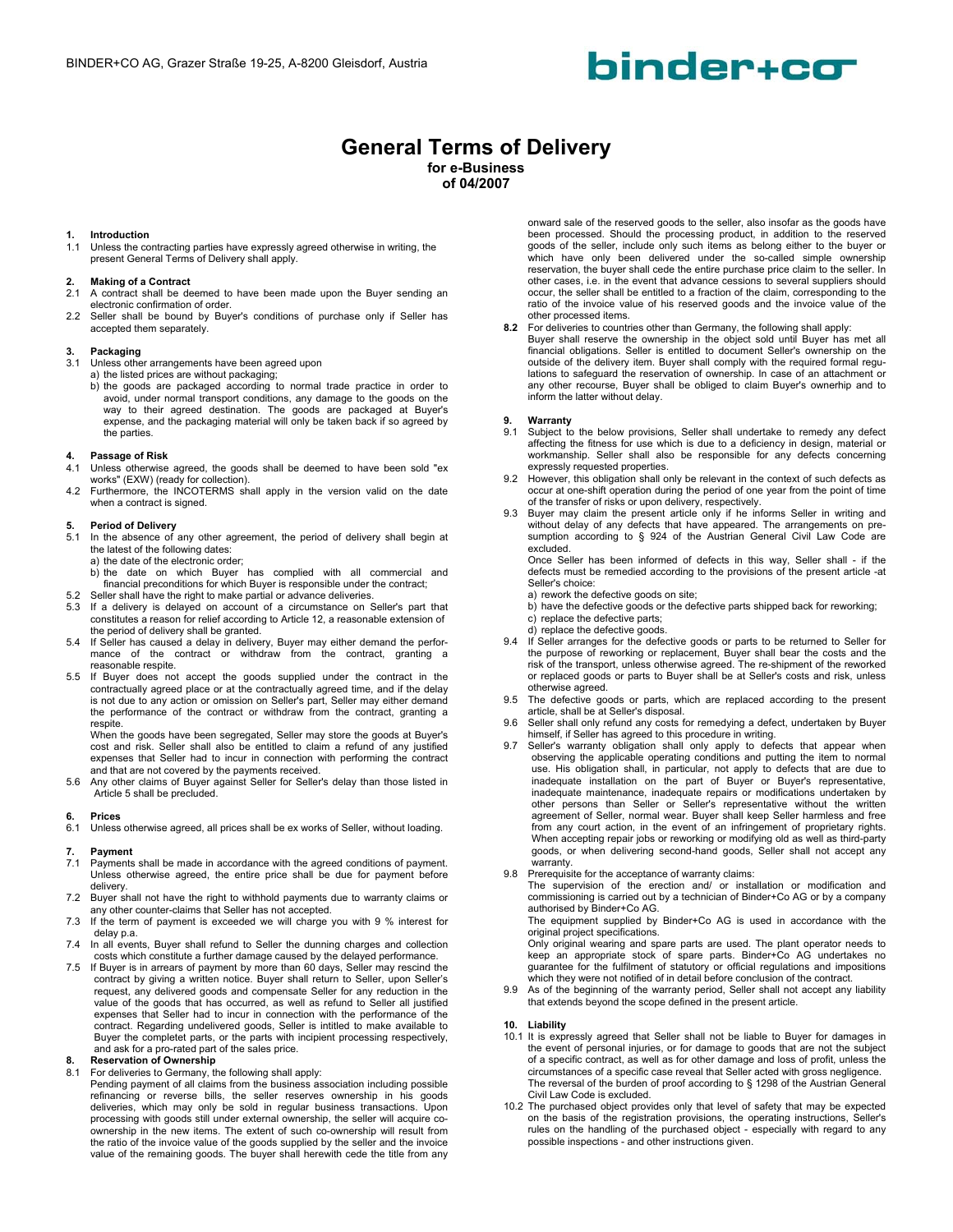# binder+co

### **General Terms of Delivery**

**for e-Business of 04/2007** 

### **1. Introduction**<br>**1.1** Unless the co

Unless the contracting parties have expressly agreed otherwise in writing, the present General Terms of Delivery shall apply.

#### **2. Making of a Contract**

- 2.1 A contract shall be deemed to have been made upon the Buyer sending an electronic confirmation of order.
- 2.2 Seller shall be bound by Buyer's conditions of purchase only if Seller has accepted them separately.

### **3. Packaging**

- Unless other arrangements have been agreed upon
- 
- a) the listed prices are without packaging; b) the goods are packaged according to normal trade practice in order to avoid, under normal transport conditions, any damage to the goods on the way to their agreed destination. The goods are packaged at Buyer's expense, and the packaging material will only be taken back if so agreed by the parties.

### **4. Passage of Risk**

- Unless otherwise agreed, the goods shall be deemed to have been sold "ex works" (EXW) (ready for collection).
- 4.2 Furthermore, the INCOTERMS shall apply in the version valid on the date when a contract is signed.

#### **5. Period of Delivery**

- 5.1 In the absence of any other agreement, the period of delivery shall begin at the latest of the following dates:
	- a) the date of the electronic order;
- b) the date on which Buyer has complied with all commercial and financial preconditions for which Buyer is responsible under the contract;
- 5.2 Seller shall have the right to make partial or advance deliveries.
- If a delivery is delayed on account of a circumstance on Seller's part that constitutes a reason for relief according to Article 12, a reasonable extension of the period of delivery shall be granted.
- 5.4 If Seller has caused a delay in delivery, Buyer may either demand the perfor-mance of the contract or withdraw from the contract, granting a reasonable respite.
- 5.5 If Buyer does not accept the goods supplied under the contract in the contractually agreed place or at the contractually agreed time, and if the delay is not due to any action or omission on Seller's part, Seller may either demand the performance of the contract or withdraw from the contract, granting a respite.

When the goods have been segregated, Seller may store the goods at Buyer's cost and risk. Seller shall also be entitled to claim a refund of any justified expenses that Seller had to incur in connection with performing the contract

and that are not covered by the payments received. 5.6 Any other claims of Buyer against Seller for Seller's delay than those listed in Article 5 shall be precluded.

### **6. Prices**

Unless otherwise agreed, all prices shall be ex works of Seller, without loading.

#### **7. Payment**

- 7.1 Payments shall be made in accordance with the agreed conditions of payment. Unless otherwise agreed, the entire price shall be due for payment before delivery.
- 7.2 Buyer shall not have the right to withhold payments due to warranty claims or any other counter-claims that Seller has not accepted.
- 7.3 If the term of payment is exceeded we will charge you with 9 % interest for delay p.a.
- 7.4 In all events, Buyer shall refund to Seller the dunning charges and collection costs which constitute a further damage caused by the delayed performance.
- 7.5 If Buyer is in arrears of payment by more than 60 days, Seller may rescind the contract by giving a written notice. Buyer shall return to Seller, upon Seller's request, any delivered goods and compensate Seller for any reduction in the value of the goods that has occurred, as well as refund to Seller all justified expenses that Seller had to incur in connection with the performance of the contract. Regarding undelivered goods, Seller is intitled to make available to Buyer the completet parts, or the parts with incipient processing respectively, and ask for a pro-rated part of the sales price.

### **8.** Reservation of Ownership<br>8.1 For deliveries to Germany, the

- For deliveries to Germany, the following shall apply:
	- Pending payment of all claims from the business association including possible refinancing or reverse bills, the seller reserves ownership in his goods deliveries, which may only be sold in regular business transactions. Upon<br>processing with goods still under external ownership, the seller will acquire co-<br>ownership in the new items. The extent of such co-ownership will r the ratio of the invoice value of the goods supplied by the seller and the invoice value of the remaining goods. The buyer shall herewith cede the title from any

onward sale of the reserved goods to the seller, also insofar as the goods have been processed. Should the processing product, in addition to the reserved goods of the seller, include only such items as belong either to the buyer or which have only been delivered under the so-called simple ownership reservation, the buyer shall cede the entire purchase price claim to the seller. In other cases, i.e. in the event that advance cessions to several suppliers should occur, the seller shall be entitled to a fraction of the claim, corresponding to the ratio of the invoice value of his reserved goods and the invoice value of the other processed items.

**8.2** For deliveries to countries other than Germany, the following shall apply: Buyer shall reserve the ownership in the object sold until Buyer has met all financial obligations. Seller is entitled to document Seller's ownership on the outside of the delivery item. Buyer shall comply with the required formal regulations to safeguard the reservation of ownership. In case of an attachment or any other recourse, Buyer shall be obliged to claim Buyer's ownerhip and to inform the latter without delay.

### **9. Warranty**<br>**9.1** Subject to

- Subject to the below provisions, Seller shall undertake to remedy any defect affecting the fitness for use which is due to a deficiency in design, material or workmanship. Seller shall also be responsible for any defects concerning expressly requested properties.
- 9.2 However, this obligation shall only be relevant in the context of such defects as occur at one-shift operation during the period of one year from the point of time of the transfer of risks or upon delivery, respectively.
- 9.3 Buyer may claim the present article only if he informs Seller in writing and without delay of any defects that have appeared. The arrangements on presumption according to § 924 of the Austrian General Civil Law Code are excluded.

Once Seller has been informed of defects in this way, Seller shall - if the defects must be remedied according to the provisions of the present article -at Seller's choice:

a) rework the defective goods on site;

 b) have the defective goods or the defective parts shipped back for reworking; c) replace the defective parts;

- d) replace the defective goods.<br>9.4 If Seller arranges for the defe
- If Seller arranges for the defective goods or parts to be returned to Seller for the purpose of reworking or replacement, Buyer shall bear the costs and the risk of the transport, unless otherwise agreed. The re-shipment of the reworked or replaced goods or parts to Buyer shall be at Seller's costs and risk, unless otherwise agreed.
- 9.5 The defective goods or parts, which are replaced according to the present article, shall be at Seller's disposal.
- 9.6 Seller shall only refund any costs for remedying a defect, undertaken by Buyer himself, if Seller has agreed to this procedure in writing.
- 9.7 Seller's warranty obligation shall only apply to defects that appear when<br>observing the applicable operating conditions and putting the item to normal<br>use. His obligation shall, in particular, not apply to defects that inadequate installation on the part of Buyer or Buyer's representative, inadequate maintenance, inadequate repairs or modifications undertaken by other persons than Seller or Seller's representative without the written agreement of Seller, normal wear. Buyer shall keep Seller harmless and free from any court action, in the event of an infringement of proprietary rights. When accepting repair jobs or reworking or modifying old as well as third-party goods, or when delivering second-hand goods, Seller shall not accept any warranty.
- 9.8 Prerequisite for the acceptance of warranty claims:

The supervision of the erection and/ or installation or modification and commissioning is carried out by a technician of Binder+Co AG or by a company authorised by Binder+Co AG.

The equipment supplied by Binder+Co AG is used in accordance with the original project specifications.

Only original wearing and spare parts are used. The plant operator needs to keep an appropriate stock of spare parts. Binder+Co AG undertakes no guarantee for the fulfilment of statutory or official regulations and impositions which they were not notified of in detail before conclusion of the contract.

9.9 As of the beginning of the warranty period, Seller shall not accept any liability that extends beyond the scope defined in the present article.

#### **10. Liability**

- 10.1 It is expressly agreed that Seller shall not be liable to Buyer for damages in the event of personal injuries, or for damage to goods that are not the subject of a specific contract, as well as for other damage and loss of profit, unless the circumstances of a specific case reveal that Seller acted with gross negligence. The reversal of the burden of proof according to § 1298 of the Austrian General Civil Law Code is excluded.
- 10.2 The purchased object provides only that level of safety that may be expected on the basis of the registration provisions, the operating instructions, Seller's rules on the handling of the purchased object - especially with regard to any possible inspections - and other instructions given.